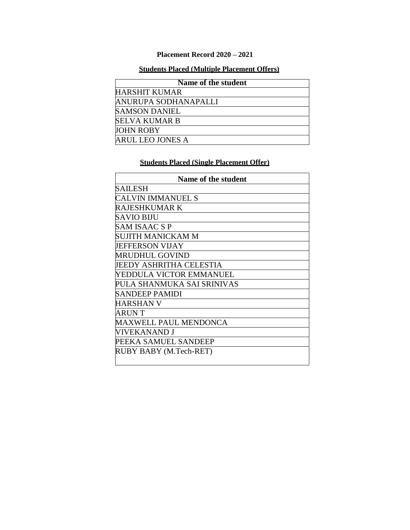## **Placement Record 2020 – 2021**

## **Students Placed (Multiple Placement Offers)**

| Name of the student  |
|----------------------|
| <b>HARSHIT KUMAR</b> |
| ANURUPA SODHANAPALLI |
| <b>SAMSON DANIEL</b> |
| <b>SELVA KUMAR B</b> |
| <b>JOHN ROBY</b>     |
| ARUL LEO JONES A     |

## **Students Placed (Single Placement Offer)**

| Name of the student        |
|----------------------------|
| SAILESH                    |
| CALVIN IMMANUEL S          |
| RAJESHKUMAR K              |
| SAVIO BIJU                 |
| SAM ISAAC S P              |
| SUJITH MANICKAM M          |
| <b>JEFFERSON VIJAY</b>     |
| MRUDHUL GOVIND             |
| JEEDY ASHRITHA CELESTIA    |
| YEDDULA VICTOR EMMANUEL    |
| PULA SHANMUKA SAI SRINIVAS |
| <b>SANDEEP PAMIDI</b>      |
| HARSHAN V                  |
| ARUN T                     |
| MAXWELL PAUL MENDONCA      |
| VIVEKANAND J               |
| PEEKA SAMUEL SANDEEP       |
| RUBY BABY (M.Tech-RET)     |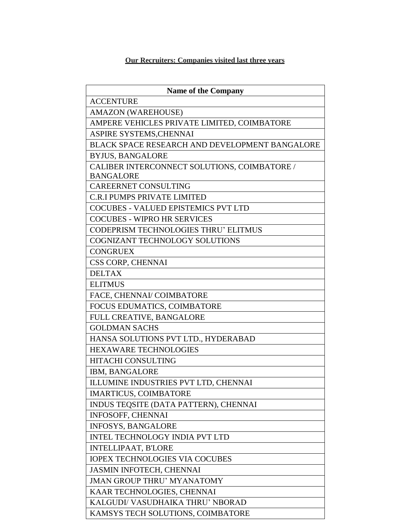## **Our Recruiters: Companies visited last three years**

| <b>Name of the Company</b>                     |
|------------------------------------------------|
| <b>ACCENTURE</b>                               |
| <b>AMAZON (WAREHOUSE)</b>                      |
| AMPERE VEHICLES PRIVATE LIMITED, COIMBATORE    |
| ASPIRE SYSTEMS, CHENNAI                        |
| BLACK SPACE RESEARCH AND DEVELOPMENT BANGALORE |
| <b>BYJUS, BANGALORE</b>                        |
| CALIBER INTERCONNECT SOLUTIONS, COIMBATORE /   |
| <b>BANGALORE</b>                               |
| <b>CAREERNET CONSULTING</b>                    |
| <b>C.R.I PUMPS PRIVATE LIMITED</b>             |
| <b>COCUBES - VALUED EPISTEMICS PVT LTD</b>     |
| <b>COCUBES - WIPRO HR SERVICES</b>             |
| <b>CODEPRISM TECHNOLOGIES THRU' ELITMUS</b>    |
| COGNIZANT TECHNOLOGY SOLUTIONS                 |
| <b>CONGRUEX</b>                                |
| CSS CORP, CHENNAI                              |
| <b>DELTAX</b>                                  |
| <b>ELITMUS</b>                                 |
| FACE, CHENNAI/ COIMBATORE                      |
| FOCUS EDUMATICS, COIMBATORE                    |
| FULL CREATIVE, BANGALORE                       |
| <b>GOLDMAN SACHS</b>                           |
| HANSA SOLUTIONS PVT LTD., HYDERABAD            |
| <b>HEXAWARE TECHNOLOGIES</b>                   |
| <b>HITACHI CONSULTING</b>                      |
| IBM, BANGALORE                                 |
| ILLUMINE INDUSTRIES PVT LTD, CHENNAI           |
| <b>IMARTICUS, COIMBATORE</b>                   |
| INDUS TEQSITE (DATA PATTERN), CHENNAI          |
| <b>INFOSOFF, CHENNAI</b>                       |
| <b>INFOSYS, BANGALORE</b>                      |
| INTEL TECHNOLOGY INDIA PVT LTD                 |
| <b>INTELLIPAAT, B'LORE</b>                     |
| <b>IOPEX TECHNOLOGIES VIA COCUBES</b>          |
| JASMIN INFOTECH, CHENNAI                       |
| <b>JMAN GROUP THRU' MYANATOMY</b>              |
| KAAR TECHNOLOGIES, CHENNAI                     |
| KALGUDI/ VASUDHAIKA THRU' NBORAD               |
| KAMSYS TECH SOLUTIONS, COIMBATORE              |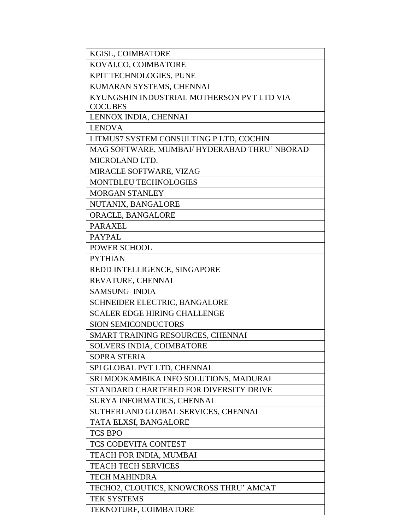| KGISL, COIMBATORE                            |
|----------------------------------------------|
| KOVALCO, COIMBATORE                          |
| KPIT TECHNOLOGIES, PUNE                      |
| KUMARAN SYSTEMS, CHENNAI                     |
| KYUNGSHIN INDUSTRIAL MOTHERSON PVT LTD VIA   |
| <b>COCUBES</b>                               |
| LENNOX INDIA, CHENNAI                        |
| <b>LENOVA</b>                                |
| LITMUS7 SYSTEM CONSULTING P LTD, COCHIN      |
| MAG SOFTWARE, MUMBAI/ HYDERABAD THRU' NBORAD |
| MICROLAND LTD.                               |
| MIRACLE SOFTWARE, VIZAG                      |
| MONTBLEU TECHNOLOGIES                        |
| <b>MORGAN STANLEY</b>                        |
| NUTANIX, BANGALORE                           |
| ORACLE, BANGALORE                            |
| <b>PARAXEL</b>                               |
| <b>PAYPAL</b>                                |
| POWER SCHOOL                                 |
| <b>PYTHIAN</b>                               |
| REDD INTELLIGENCE, SINGAPORE                 |
| REVATURE, CHENNAI                            |
| <b>SAMSUNG INDIA</b>                         |
| SCHNEIDER ELECTRIC, BANGALORE                |
| <b>SCALER EDGE HIRING CHALLENGE</b>          |
| <b>SION SEMICONDUCTORS</b>                   |
| SMART TRAINING RESOURCES, CHENNAI            |
| SOLVERS INDIA, COIMBATORE                    |
| <b>SOPRA STERIA</b>                          |
| SPI GLOBAL PVT LTD, CHENNAI                  |
| SRI MOOKAMBIKA INFO SOLUTIONS, MADURAI       |
| STANDARD CHARTERED FOR DIVERSITY DRIVE       |
| SURYA INFORMATICS, CHENNAI                   |
| SUTHERLAND GLOBAL SERVICES, CHENNAI          |
| TATA ELXSI, BANGALORE                        |
| <b>TCS BPO</b>                               |
| <b>TCS CODEVITA CONTEST</b>                  |
| TEACH FOR INDIA, MUMBAI                      |
| <b>TEACH TECH SERVICES</b>                   |
| <b>TECH MAHINDRA</b>                         |
| TECHO2, CLOUTICS, KNOWCROSS THRU' AMCAT      |
| <b>TEK SYSTEMS</b>                           |
| TEKNOTURF, COIMBATORE                        |